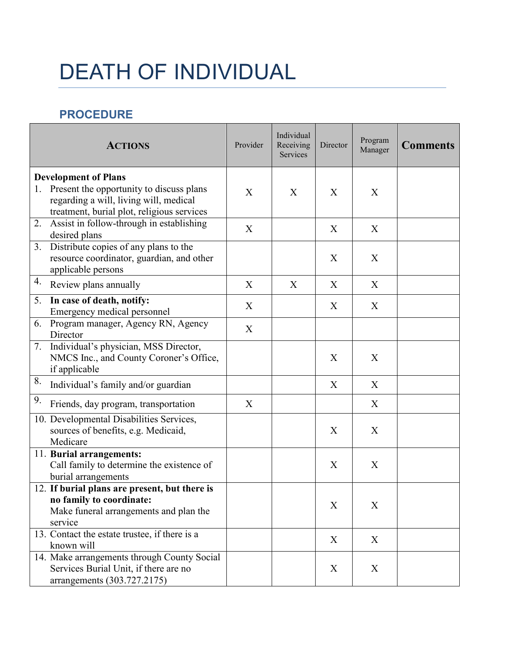## DEATH OF INDIVIDUAL

## **PROCEDURE**

| <b>ACTIONS</b>                                                                                                                                                        | Provider | Individual<br>Receiving<br>Services | Director | Program<br>Manager | <b>Comments</b> |
|-----------------------------------------------------------------------------------------------------------------------------------------------------------------------|----------|-------------------------------------|----------|--------------------|-----------------|
| <b>Development of Plans</b><br>Present the opportunity to discuss plans<br>1.<br>regarding a will, living will, medical<br>treatment, burial plot, religious services | X        | X                                   | X        | X                  |                 |
| Assist in follow-through in establishing<br>2.<br>desired plans                                                                                                       | X        |                                     | X        | X                  |                 |
| Distribute copies of any plans to the<br>3.<br>resource coordinator, guardian, and other<br>applicable persons                                                        |          |                                     | X        | X                  |                 |
| 4.<br>Review plans annually                                                                                                                                           | X        | X                                   | X        | X                  |                 |
| In case of death, notify:<br>5.<br>Emergency medical personnel                                                                                                        | X        |                                     | X        | X                  |                 |
| Program manager, Agency RN, Agency<br>6.<br>Director                                                                                                                  | X        |                                     |          |                    |                 |
| Individual's physician, MSS Director,<br>7.<br>NMCS Inc., and County Coroner's Office,<br>if applicable                                                               |          |                                     | X        | X                  |                 |
| 8.<br>Individual's family and/or guardian                                                                                                                             |          |                                     | X        | X                  |                 |
| 9.<br>Friends, day program, transportation                                                                                                                            | X        |                                     |          | X                  |                 |
| 10. Developmental Disabilities Services,<br>sources of benefits, e.g. Medicaid,<br>Medicare                                                                           |          |                                     | X        | X                  |                 |
| 11. Burial arrangements:<br>Call family to determine the existence of<br>burial arrangements                                                                          |          |                                     | X        | X                  |                 |
| 12. If burial plans are present, but there is<br>no family to coordinate:<br>Make funeral arrangements and plan the<br>service                                        |          |                                     | X        | X                  |                 |
| 13. Contact the estate trustee, if there is a<br>known will                                                                                                           |          |                                     | X        | X                  |                 |
| 14. Make arrangements through County Social<br>Services Burial Unit, if there are no<br>arrangements (303.727.2175)                                                   |          |                                     | X        | X                  |                 |